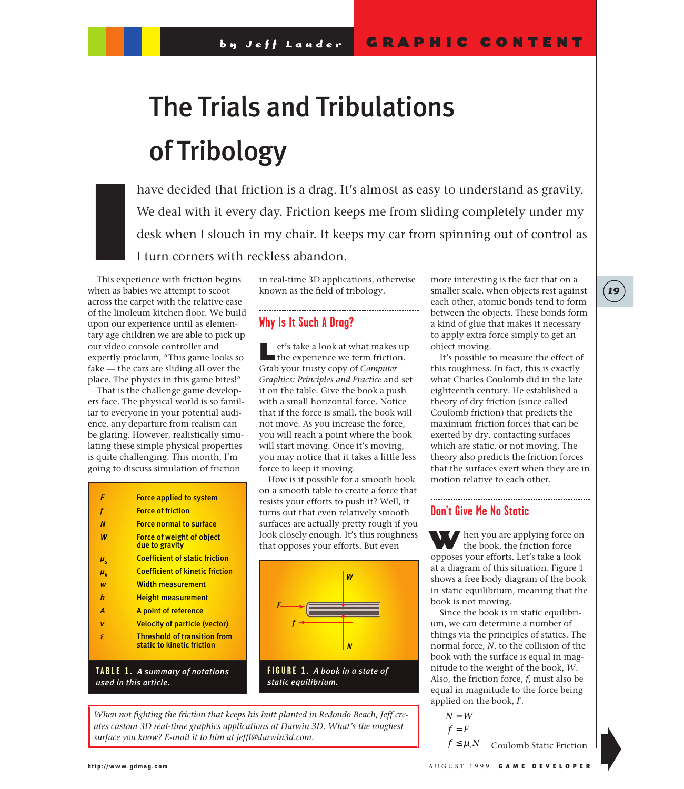# The Trials and Tribulations of Tribology

have decided that friction is a drag. It's almost as easy to understand as gravity. We deal with it every day. Friction keeps me from sliding completely under my desk when I slouch in my chair. It keeps my car from spinning out of control as I turn corners with reckless abandon.

This experience with friction begins when as babies we attempt to scoot across the carpet with the relative ease of the linoleum kitchen floor. We build upon our experience until as elementary age children we are able to pick up our video console controller and expertly proclaim, "This game looks so fake — the cars are sliding all over the place. The physics in this game bites!" I<br>I<br>Ihis expe

That is the challenge game developers face. The physical world is so familiar to everyone in your potential audience, any departure from realism can be glaring. However, realistically simulating these simple physical properties is quite challenging. This month, I'm going to discuss simulation of friction

| F             | <b>Force applied to system</b>                                    |
|---------------|-------------------------------------------------------------------|
| f             | <b>Force of friction</b>                                          |
| N             | <b>Force normal to surface</b>                                    |
| W             | <b>Force of weight of object</b><br>due to gravity                |
| $\mu_{\rm s}$ | <b>Coefficient of static friction</b>                             |
| $\mu_{\nu}$   | <b>Coefficient of kinetic friction</b>                            |
| W             | <b>Width measurement</b>                                          |
| h             | <u>Height measurement</u>                                         |
| A             | A point of reference                                              |
| v             | <b>Velocity of particle (vector)</b>                              |
| £.            | <b>Threshold of transition from</b><br>static to kinetic friction |
|               | <b>TABLE 1. A summary of notations</b>                            |

*used in this article.*

in real-time 3D applications, otherwise known as the field of tribology. 

# **Why Is It Such A Drag?**

et's take a look at what makes up the experience we term friction. Grab your trusty copy of *Computer Graphics: Principles and Practice* and set it on the table. Give the book a push with a small horizontal force. Notice that if the force is small, the book will not move. As you increase the force, you will reach a point where the book will start moving. Once it's moving, you may notice that it takes a little less force to keep it moving.

How is it possible for a smooth book on a smooth table to create a force that resists your efforts to push it? Well, it turns out that even relatively smooth surfaces are actually pretty rough if you look closely enough. It's this roughness that opposes your efforts. But even



*static equilibrium.*

*When not fighting the friction that keeps his butt planted in Redondo Beach, Jeff creates custom 3D real-time graphics applications at Darwin 3D. What's the roughest surface you know? E-mail it to him at jeffl@darwin3d.com.*

more interesting is the fact that on a smaller scale, when objects rest against each other, atomic bonds tend to form between the objects. These bonds form a kind of glue that makes it necessary to apply extra force simply to get an object moving.

It's possible to measure the effect of this roughness. In fact, this is exactly what Charles Coulomb did in the late eighteenth century. He established a theory of dry friction (since called Coulomb friction) that predicts the maximum friction forces that can be exerted by dry, contacting surfaces which are static, or not moving. The theory also predicts the friction forces that the surfaces exert when they are in motion relative to each other.

## **Don't Give Me No Static**

When you are applying force on the book, the friction force opposes your efforts. Let's take a look at a diagram of this situation. Figure 1 shows a free body diagram of the book in static equilibrium, meaning that the book is not moving.

Since the book is in static equilibrium, we can determine a number of things via the principles of statics. The normal force, *N*, to the collision of the book with the surface is equal in magnitude to the weight of the book, *W*. Also, the friction force, *f*, must also be equal in magnitude to the force being applied on the book, *F*.

 $N = W$  $f = F$ 

 $f \leq \mu_s N$  Coulomb Static Friction

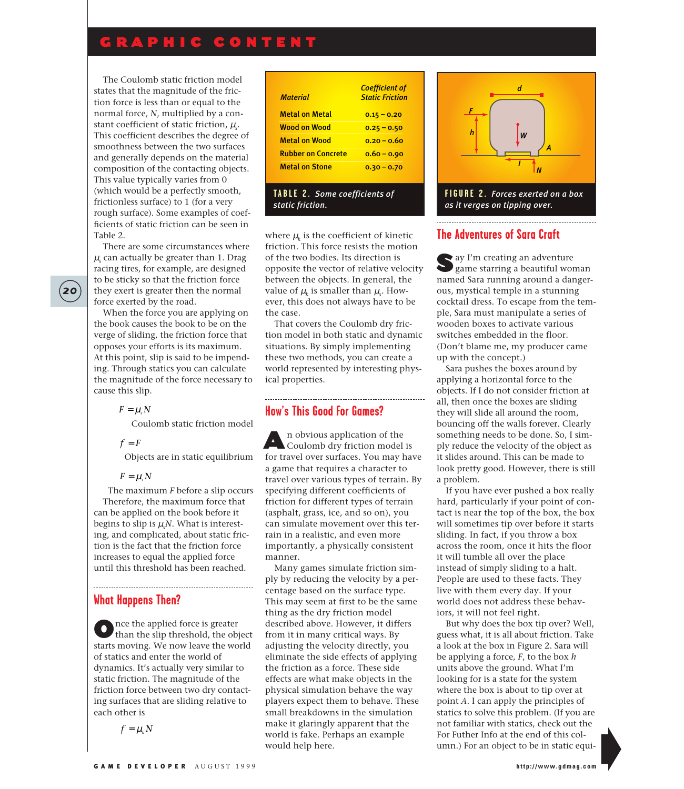# GRAPHIC CONTENT

The Coulomb static friction model states that the magnitude of the friction force is less than or equal to the normal force, *N*, multiplied by a constant coefficient of static friction, µ*<sup>s</sup>* . This coefficient describes the degree of smoothness between the two surfaces and generally depends on the material composition of the contacting objects. This value typically varies from 0 (which would be a perfectly smooth, frictionless surface) to 1 (for a very rough surface). Some examples of coefficients of static friction can be seen in Table 2.

There are some circumstances where  $\mu$ <sub>s</sub> can actually be greater than 1. Drag racing tires, for example, are designed to be sticky so that the friction force they exert is greater then the normal force exerted by the road.

When the force you are applying on the book causes the book to be on the verge of sliding, the friction force that opposes your efforts is its maximum. At this point, slip is said to be impending. Through statics you can calculate the magnitude of the force necessary to cause this slip.

$$
F=\mu_s N
$$

Coulomb static friction model

 $f = F$ 

Objects are in static equilibrium

 $F = u \, N$ 

The maximum *F* before a slip occurs Therefore, the maximum force that can be applied on the book before it begins to slip is  $\mu_{_S}\!N$ . What is interesting, and complicated, about static friction is the fact that the friction force increases to equal the applied force until this threshold has been reached.

### **What Happens Then?**

Once the applied force is greater<br>than the slip threshold, the object starts moving. We now leave the world of statics and enter the world of dynamics. It's actually very similar to static friction. The magnitude of the friction force between two dry contacting surfaces that are sliding relative to each other is

 $f = \mu_k N$ 

| <b>Material</b>           | <b>Coefficient of</b><br><b>Static Friction</b> |
|---------------------------|-------------------------------------------------|
| Metal on Metal            | $0.15 - 0.20$                                   |
| Wood on Wood              | $0.25 - 0.50$                                   |
| <b>Metal on Wood</b>      | $0.20 - 0.60$                                   |
| <b>Rubber on Concrete</b> | $0.60 - 0.90$                                   |
| <b>Metal on Stone</b>     | $0.30 - 0.70$                                   |

#### **TABLE 2.** *Some coefficients of static friction.*

where  $\mu_k$  is the coefficient of kinetic friction. This force resists the motion of the two bodies. Its direction is opposite the vector of relative velocity between the objects. In general, the value of  $\mu_k$  is smaller than  $\mu_{\text{s}}$ . However, this does not always have to be the case.

That covers the Coulomb dry friction model in both static and dynamic situations. By simply implementing these two methods, you can create a world represented by interesting physical properties.

#### **How's This Good For Games?**

A n obvious application of the Coulomb dry friction model is for travel over surfaces. You may have a game that requires a character to travel over various types of terrain. By specifying different coefficients of friction for different types of terrain (asphalt, grass, ice, and so on), you can simulate movement over this terrain in a realistic, and even more importantly, a physically consistent manner.

Many games simulate friction simply by reducing the velocity by a percentage based on the surface type. This may seem at first to be the same thing as the dry friction model described above. However, it differs from it in many critical ways. By adjusting the velocity directly, you eliminate the side effects of applying the friction as a force. These side effects are what make objects in the physical simulation behave the way players expect them to behave. These small breakdowns in the simulation make it glaringly apparent that the world is fake. Perhaps an example would help here.



*as it verges on tipping over.* 

## **The Adventures of Sara Craft**

Say I'm creating an adventure game starring a beautiful woman named Sara running around a dangerous, mystical temple in a stunning cocktail dress. To escape from the temple, Sara must manipulate a series of wooden boxes to activate various switches embedded in the floor. (Don't blame me, my producer came up with the concept.)

Sara pushes the boxes around by applying a horizontal force to the objects. If I do not consider friction at all, then once the boxes are sliding they will slide all around the room, bouncing off the walls forever. Clearly something needs to be done. So, I simply reduce the velocity of the object as it slides around. This can be made to look pretty good. However, there is still a problem.

If you have ever pushed a box really hard, particularly if your point of contact is near the top of the box, the box will sometimes tip over before it starts sliding. In fact, if you throw a box across the room, once it hits the floor it will tumble all over the place instead of simply sliding to a halt. People are used to these facts. They live with them every day. If your world does not address these behaviors, it will not feel right.

But why does the box tip over? Well, guess what, it is all about friction. Take a look at the box in Figure 2. Sara will be applying a force, *F*, to the box *h* units above the ground. What I'm looking for is a state for the system where the box is about to tip over at point *A*. I can apply the principles of statics to solve this problem. (If you are not familiar with statics, check out the For Futher Info at the end of this column.) For an object to be in static equi-

**20**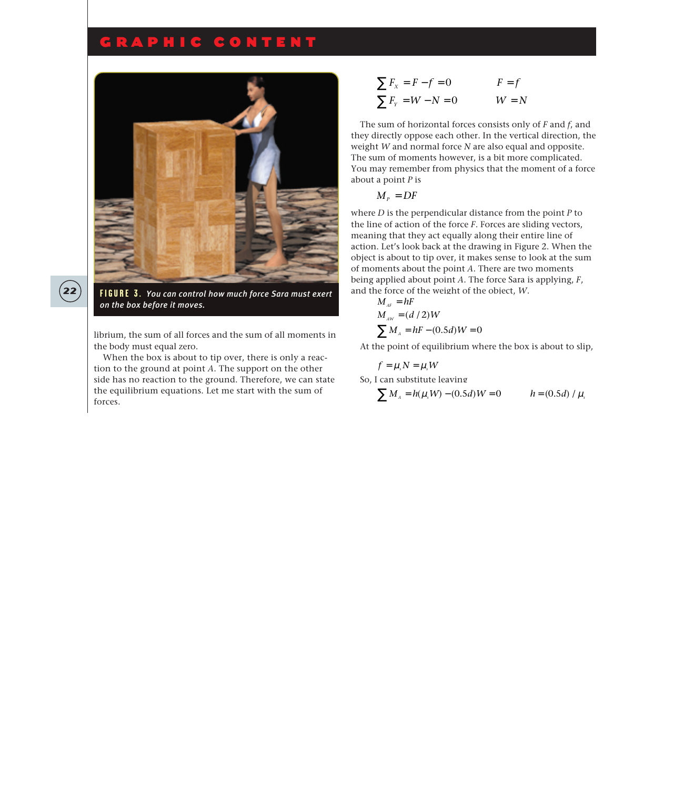# GRAPHIC CONTENT



**22 FIGURE 3.** *You can control how much force Sara must exert on the box before it moves.* 

librium, the sum of all forces and the sum of all moments in the body must equal zero.

When the box is about to tip over, there is only a reaction to the ground at point *A*. The support on the other side has no reaction to the ground. Therefore, we can state the equilibrium equations. Let me start with the sum of forces.

$$
\sum F_x = F - f = 0 \qquad F = f
$$
  

$$
\sum F_y = W - N = 0 \qquad W = N
$$

The sum of horizontal forces consists only of *F* and *f*, and they directly oppose each other. In the vertical direction, the weight *W* and normal force *N* are also equal and opposite. The sum of moments however, is a bit more complicated. You may remember from physics that the moment of a force about a point *P* is

$$
M_{P}=DF
$$

where *D* is the perpendicular distance from the point *P* to the line of action of the force *F*. Forces are sliding vectors, meaning that they act equally along their entire line of action. Let's look back at the drawing in Figure 2. When the object is about to tip over, it makes sense to look at the sum of moments about the point *A*. There are two moments being applied about point *A*. The force Sara is applying, *F*, and the force of the weight of the object, *W*.

$$
M_{_{AF}} = hF
$$
  
\n
$$
M_{_{AW}} = (d/2)W
$$
  
\n
$$
\sum M_{_A} = hF - (0.5d)W = 0
$$

At the point of equilibrium where the box is about to slip,

$$
f = \mu_s N = \mu_s W
$$
  
So, I can substitute leaving  

$$
\sum M_A = h(\mu_s W) - (0.5d)W = 0
$$
  $h = (0.5d) / \mu_s$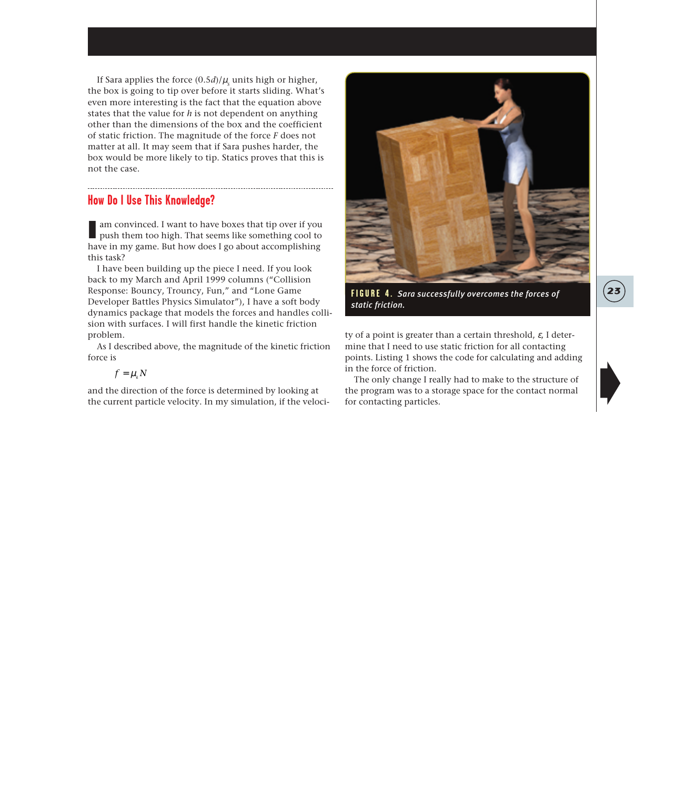If Sara applies the force  $(0.5d)/\mu_s$  units high or higher, the box is going to tip over before it starts sliding. What's even more interesting is the fact that the equation above states that the value for *h* is not dependent on anything other than the dimensions of the box and the coefficient of static friction. The magnitude of the force *F* does not matter at all. It may seem that if Sara pushes harder, the box would be more likely to tip. Statics proves that this is not the case.

## **How Do I Use This Knowledge?**

I am convinced. I want to have boxes that tip over if you push them too high. That seems like something cool to have in my game. But how does I go about accomplishing this task?

I have been building up the piece I need. If you look back to my March and April 1999 columns ("Collision Response: Bouncy, Trouncy, Fun," and "Lone Game Developer Battles Physics Simulator"), I have a soft body dynamics package that models the forces and handles collision with surfaces. I will first handle the kinetic friction problem.

As I described above, the magnitude of the kinetic friction force is

$$
f=\mu_k N
$$

and the direction of the force is determined by looking at the current particle velocity. In my simulation, if the veloci-



**FIGURE 4.** *Sara successfully overcomes the forces of* **23** *static friction.* 

ty of a point is greater than a certain threshold,  $\varepsilon$ , I determine that I need to use static friction for all contacting points. Listing 1 shows the code for calculating and adding in the force of friction.

The only change I really had to make to the structure of the program was to a storage space for the contact normal for contacting particles.